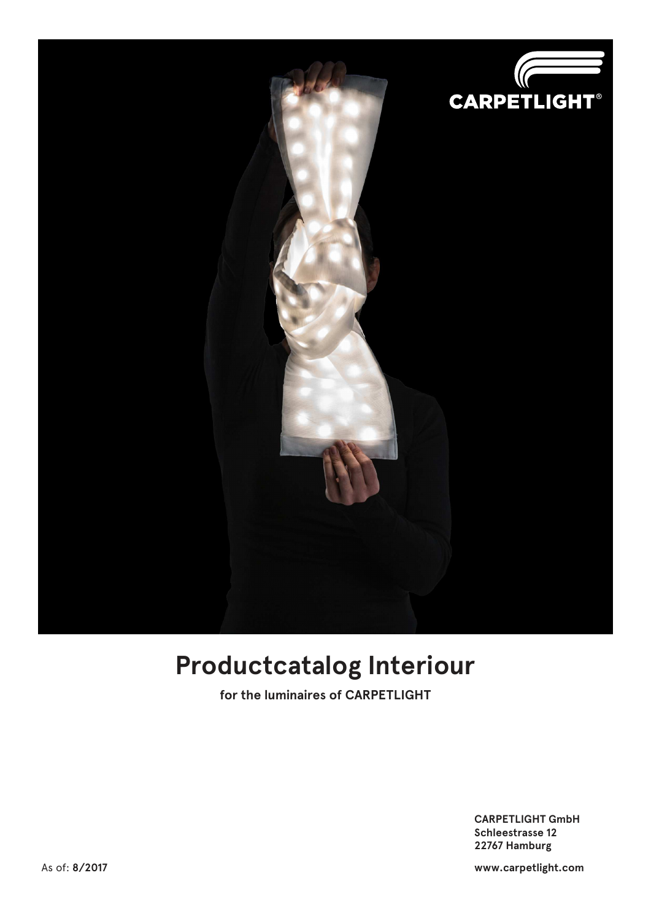

### **Productcatalog Interiour**

**for the luminaires of CARPETLIGHT**

 **CARPETLIGHT GmbH Schleestrasse 12 22767 Hamburg**

As of: **8/2017 www.carpetlight.com**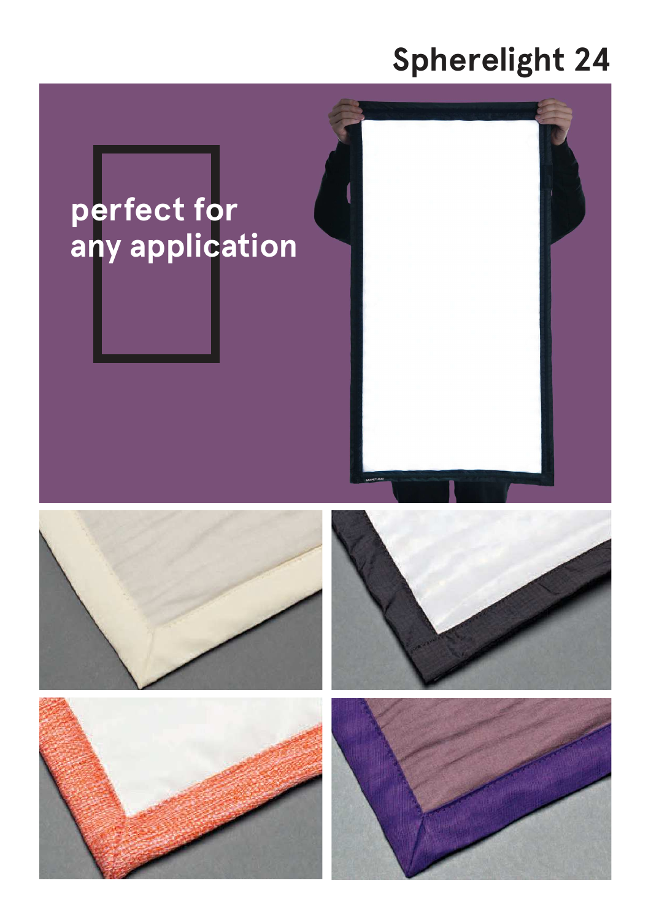## **Spherelight 24**

# perfect for<br>any application

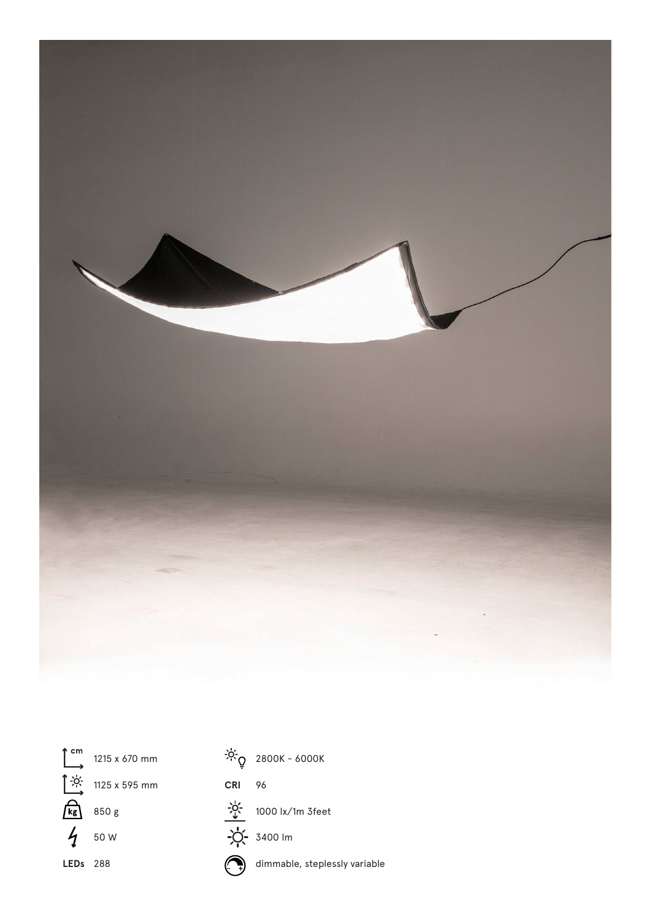



 $\int_{0}^{2\pi}$  1215 x 670 mm

1125 x 595 mm

850 g

 $450w$ 

**LEDs** 288

**CRI** 96 1000 lx/1m 3feet

 $-50.2800K - 6000K$ 



dimmable, steplessly variable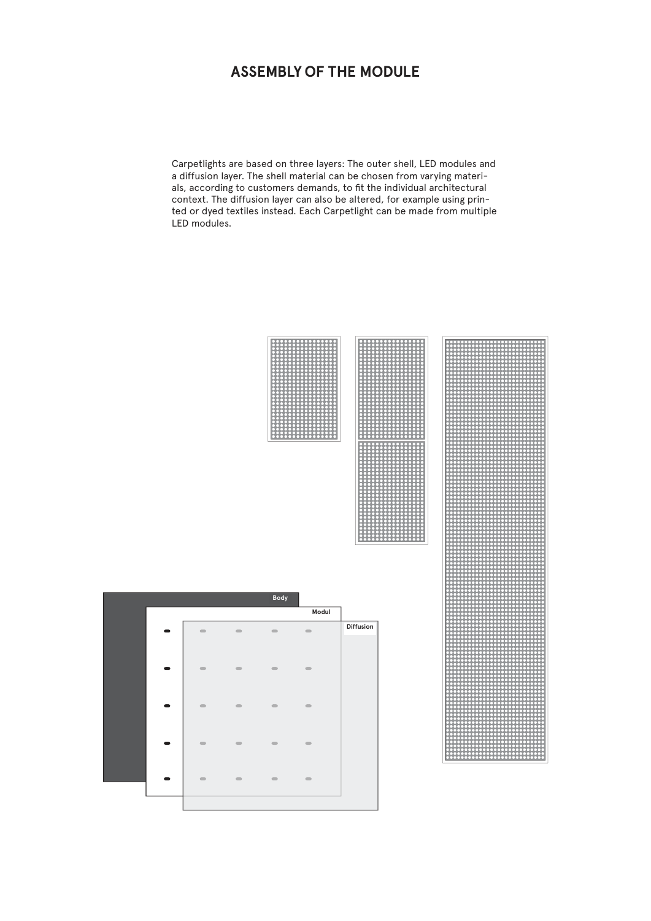#### **ASSEMBLY OF THE MODULE**

Carpetlights are based on three layers: The outer shell, LED modules and a diffusion layer. The shell material can be chosen from varying materials, according to customers demands, to fit the individual architectural context. The diffusion layer can also be altered, for example using printed or dyed textiles instead. Each Carpetlight can be made from multiple LED modules.





|  |                              |                | Body                         |                |           |
|--|------------------------------|----------------|------------------------------|----------------|-----------|
|  |                              |                |                              | Modul          |           |
|  | œ                            | $\sim$         | $\equiv$                     | $\blacksquare$ | Diffusion |
|  |                              |                |                              |                |           |
|  | $\qquad \qquad \blacksquare$ | $\blacksquare$ | $\qquad \qquad \blacksquare$ | $\blacksquare$ |           |
|  |                              |                |                              |                |           |
|  | $\qquad \qquad \blacksquare$ | $\blacksquare$ | $\qquad \qquad \blacksquare$ | $\blacksquare$ |           |
|  |                              |                |                              |                |           |
|  | $\equiv$                     | $\equiv$       | $\equiv$                     | $\blacksquare$ |           |
|  |                              |                |                              |                |           |
|  | $\blacksquare$               | $\blacksquare$ | $\blacksquare$               | $\blacksquare$ |           |
|  |                              |                |                              |                |           |
|  |                              |                |                              |                |           |